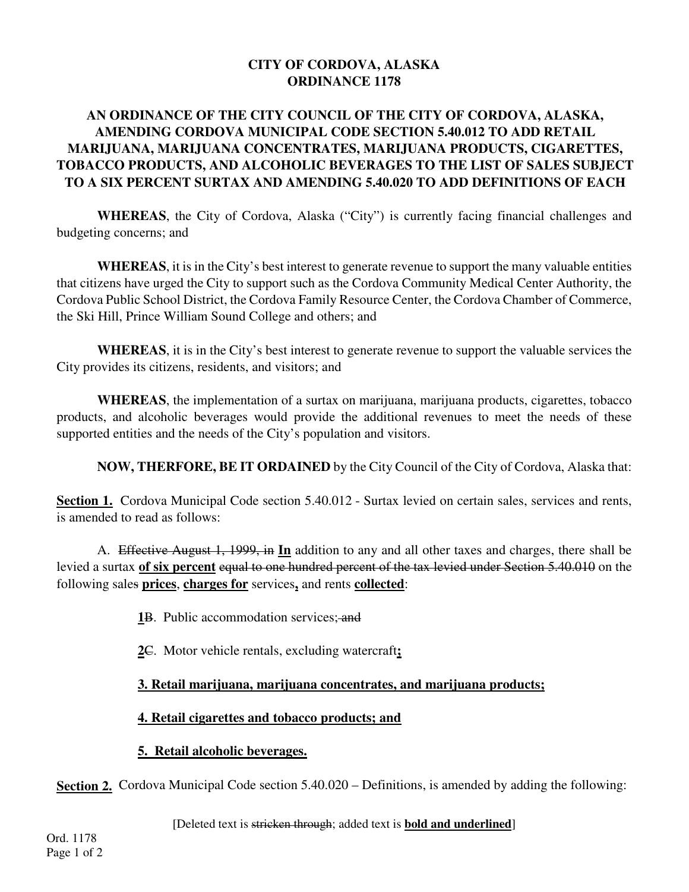### **CITY OF CORDOVA, ALASKA ORDINANCE 1178**

# **AN ORDINANCE OF THE CITY COUNCIL OF THE CITY OF CORDOVA, ALASKA, AMENDING CORDOVA MUNICIPAL CODE SECTION 5.40.012 TO ADD RETAIL MARIJUANA, MARIJUANA CONCENTRATES, MARIJUANA PRODUCTS, CIGARETTES, TOBACCO PRODUCTS, AND ALCOHOLIC BEVERAGES TO THE LIST OF SALES SUBJECT TO A SIX PERCENT SURTAX AND AMENDING 5.40.020 TO ADD DEFINITIONS OF EACH**

**WHEREAS**, the City of Cordova, Alaska ("City") is currently facing financial challenges and budgeting concerns; and

**WHEREAS**, it is in the City's best interest to generate revenue to support the many valuable entities that citizens have urged the City to support such as the Cordova Community Medical Center Authority, the Cordova Public School District, the Cordova Family Resource Center, the Cordova Chamber of Commerce, the Ski Hill, Prince William Sound College and others; and

**WHEREAS**, it is in the City's best interest to generate revenue to support the valuable services the City provides its citizens, residents, and visitors; and

**WHEREAS**, the implementation of a surtax on marijuana, marijuana products, cigarettes, tobacco products, and alcoholic beverages would provide the additional revenues to meet the needs of these supported entities and the needs of the City's population and visitors.

**NOW, THERFORE, BE IT ORDAINED** by the City Council of the City of Cordova, Alaska that:

**Section 1.** Cordova Municipal Code section 5.40.012 - Surtax levied on certain sales, services and rents, is amended to read as follows:

A. Effective August 1, 1999, in **In** addition to any and all other taxes and charges, there shall be levied a surtax **of six percent** equal to one hundred percent of the tax levied under Section 5.40.010 on the following sales **prices**, **charges for** services**,** and rents **collected**:

- **1**B. Public accommodation services; and
- **2**C. Motor vehicle rentals, excluding watercraft**;**

# **3. Retail marijuana, marijuana concentrates, and marijuana products;**

#### **4. Retail cigarettes and tobacco products; and**

#### **5. Retail alcoholic beverages.**

**Section 2.** Cordova Municipal Code section 5.40.020 – Definitions, is amended by adding the following:

[Deleted text is stricken through; added text is **bold and underlined**]